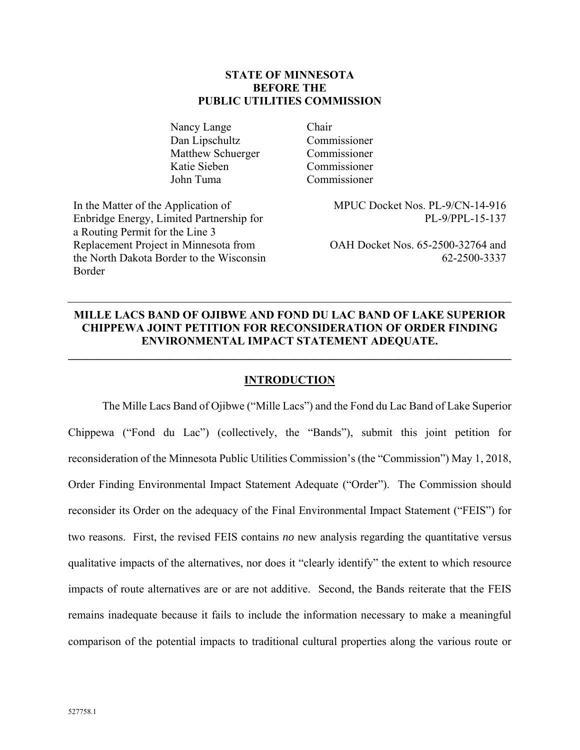### **STATE OF MINNESOTA BEFORE THE PUBLIC UTILITIES COMMISSION**

Nancy Lange Chair Dan Lipschultz Commissioner Matthew Schuerger Commissioner Katie Sieben Commissioner John Tuma Commissioner

In the Matter of the Application of Enbridge Energy, Limited Partnership for a Routing Permit for the Line 3 Replacement Project in Minnesota from the North Dakota Border to the Wisconsin Border

MPUC Docket Nos. PL-9/CN-14-916 PL-9/PPL-15-137

OAH Docket Nos. 65-2500-32764 and 62-2500-3337

# **MILLE LACS BAND OF OJIBWE AND FOND DU LAC BAND OF LAKE SUPERIOR CHIPPEWA JOINT PETITION FOR RECONSIDERATION OF ORDER FINDING ENVIRONMENTAL IMPACT STATEMENT ADEQUATE.**

**\_\_\_\_\_\_\_\_\_\_\_\_\_\_\_\_\_\_\_\_\_\_\_\_\_\_\_\_\_\_\_\_\_\_\_\_\_\_\_\_\_\_\_\_\_\_\_\_\_\_\_\_\_\_\_\_\_\_\_\_\_\_\_\_\_\_\_\_\_\_\_\_\_\_\_\_\_\_** 

### **INTRODUCTION**

The Mille Lacs Band of Ojibwe ("Mille Lacs") and the Fond du Lac Band of Lake Superior Chippewa ("Fond du Lac") (collectively, the "Bands"), submit this joint petition for reconsideration of the Minnesota Public Utilities Commission's (the "Commission") May 1, 2018, Order Finding Environmental Impact Statement Adequate ("Order"). The Commission should reconsider its Order on the adequacy of the Final Environmental Impact Statement ("FEIS") for two reasons. First, the revised FEIS contains *no* new analysis regarding the quantitative versus qualitative impacts of the alternatives, nor does it "clearly identify" the extent to which resource impacts of route alternatives are or are not additive. Second, the Bands reiterate that the FEIS remains inadequate because it fails to include the information necessary to make a meaningful comparison of the potential impacts to traditional cultural properties along the various route or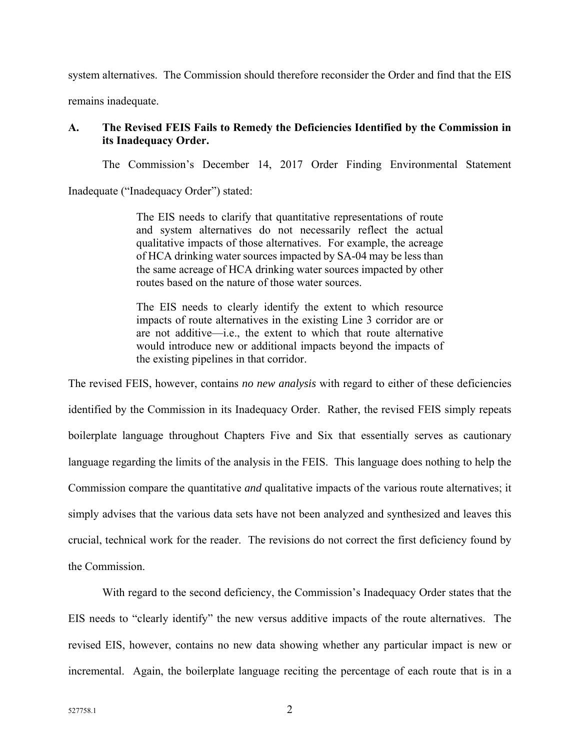system alternatives. The Commission should therefore reconsider the Order and find that the EIS

remains inadequate.

### **A. The Revised FEIS Fails to Remedy the Deficiencies Identified by the Commission in its Inadequacy Order.**

The Commission's December 14, 2017 Order Finding Environmental Statement

Inadequate ("Inadequacy Order") stated:

The EIS needs to clarify that quantitative representations of route and system alternatives do not necessarily reflect the actual qualitative impacts of those alternatives. For example, the acreage of HCA drinking water sources impacted by SA-04 may be less than the same acreage of HCA drinking water sources impacted by other routes based on the nature of those water sources.

The EIS needs to clearly identify the extent to which resource impacts of route alternatives in the existing Line 3 corridor are or are not additive—i.e., the extent to which that route alternative would introduce new or additional impacts beyond the impacts of the existing pipelines in that corridor.

The revised FEIS, however, contains *no new analysis* with regard to either of these deficiencies identified by the Commission in its Inadequacy Order. Rather, the revised FEIS simply repeats boilerplate language throughout Chapters Five and Six that essentially serves as cautionary language regarding the limits of the analysis in the FEIS. This language does nothing to help the Commission compare the quantitative *and* qualitative impacts of the various route alternatives; it simply advises that the various data sets have not been analyzed and synthesized and leaves this crucial, technical work for the reader. The revisions do not correct the first deficiency found by the Commission.

With regard to the second deficiency, the Commission's Inadequacy Order states that the EIS needs to "clearly identify" the new versus additive impacts of the route alternatives. The revised EIS, however, contains no new data showing whether any particular impact is new or incremental. Again, the boilerplate language reciting the percentage of each route that is in a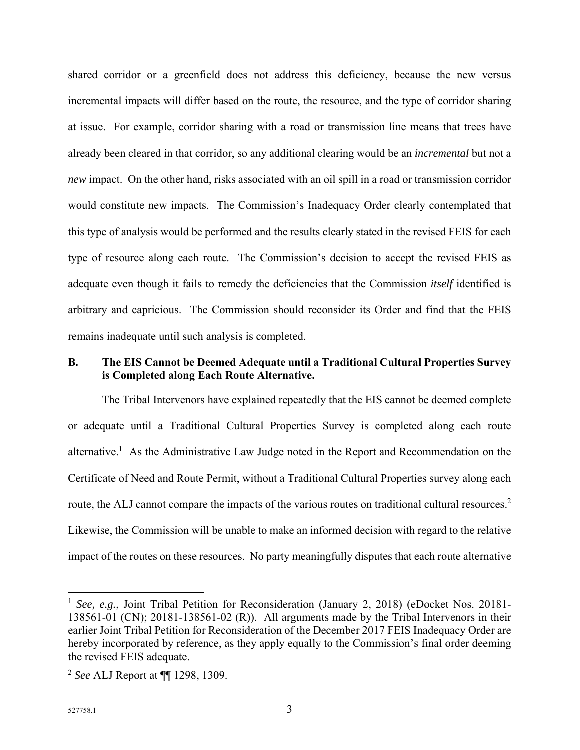shared corridor or a greenfield does not address this deficiency, because the new versus incremental impacts will differ based on the route, the resource, and the type of corridor sharing at issue. For example, corridor sharing with a road or transmission line means that trees have already been cleared in that corridor, so any additional clearing would be an *incremental* but not a *new* impact. On the other hand, risks associated with an oil spill in a road or transmission corridor would constitute new impacts. The Commission's Inadequacy Order clearly contemplated that this type of analysis would be performed and the results clearly stated in the revised FEIS for each type of resource along each route. The Commission's decision to accept the revised FEIS as adequate even though it fails to remedy the deficiencies that the Commission *itself* identified is arbitrary and capricious. The Commission should reconsider its Order and find that the FEIS remains inadequate until such analysis is completed.

### **B. The EIS Cannot be Deemed Adequate until a Traditional Cultural Properties Survey is Completed along Each Route Alternative.**

The Tribal Intervenors have explained repeatedly that the EIS cannot be deemed complete or adequate until a Traditional Cultural Properties Survey is completed along each route alternative.<sup>1</sup> As the Administrative Law Judge noted in the Report and Recommendation on the Certificate of Need and Route Permit, without a Traditional Cultural Properties survey along each route, the ALJ cannot compare the impacts of the various routes on traditional cultural resources.<sup>2</sup> Likewise, the Commission will be unable to make an informed decision with regard to the relative impact of the routes on these resources. No party meaningfully disputes that each route alternative

<u>.</u>

<sup>&</sup>lt;sup>1</sup> *See, e.g.*, Joint Tribal Petition for Reconsideration (January 2, 2018) (eDocket Nos. 20181-138561-01 (CN); 20181-138561-02 (R)). All arguments made by the Tribal Intervenors in their earlier Joint Tribal Petition for Reconsideration of the December 2017 FEIS Inadequacy Order are hereby incorporated by reference, as they apply equally to the Commission's final order deeming the revised FEIS adequate.

<sup>2</sup> *See* ALJ Report at ¶¶ 1298, 1309.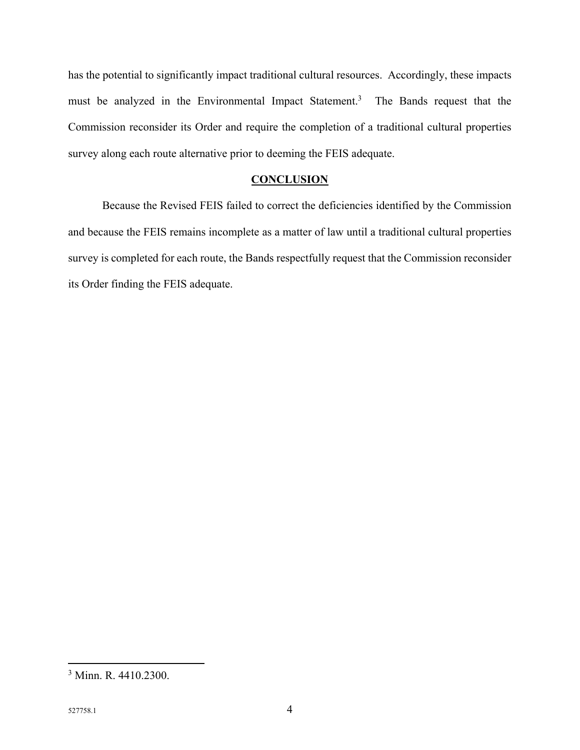has the potential to significantly impact traditional cultural resources. Accordingly, these impacts must be analyzed in the Environmental Impact Statement.<sup>3</sup> The Bands request that the Commission reconsider its Order and require the completion of a traditional cultural properties survey along each route alternative prior to deeming the FEIS adequate.

### **CONCLUSION**

 Because the Revised FEIS failed to correct the deficiencies identified by the Commission and because the FEIS remains incomplete as a matter of law until a traditional cultural properties survey is completed for each route, the Bands respectfully request that the Commission reconsider its Order finding the FEIS adequate.

 $\overline{a}$ 

<sup>3</sup> Minn. R. 4410.2300.